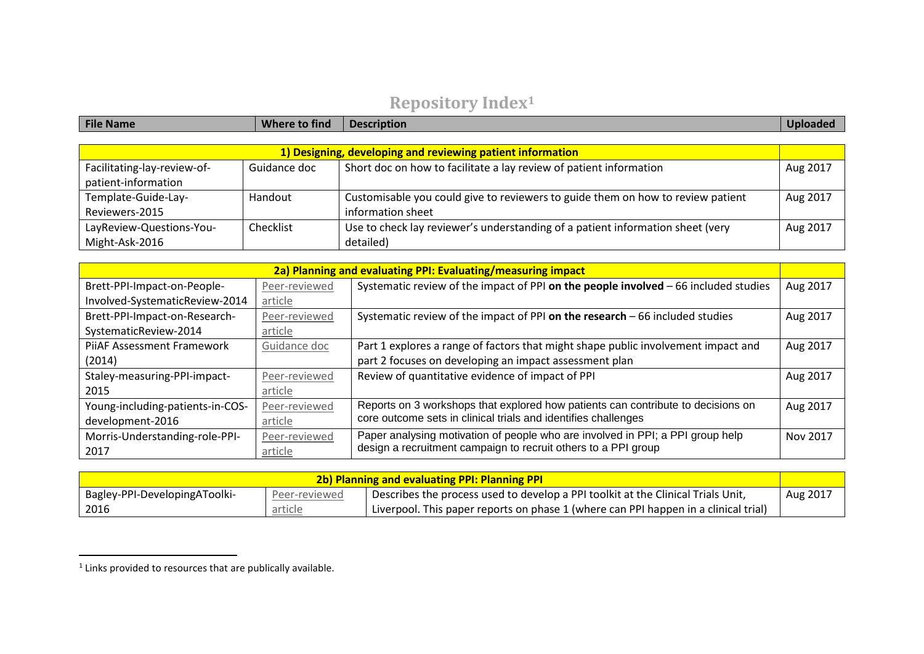## **Repository Index<sup>1</sup>**

| File Name                   | Where to find                                              | <b>Description</b>                                                              | <b>Uploaded</b> |  |  |
|-----------------------------|------------------------------------------------------------|---------------------------------------------------------------------------------|-----------------|--|--|
|                             |                                                            |                                                                                 |                 |  |  |
|                             | 1) Designing, developing and reviewing patient information |                                                                                 |                 |  |  |
| Facilitating-lay-review-of- | Guidance doc                                               | Short doc on how to facilitate a lay review of patient information              | Aug 2017        |  |  |
| patient-information         |                                                            |                                                                                 |                 |  |  |
| Template-Guide-Lay-         | Handout                                                    | Customisable you could give to reviewers to guide them on how to review patient | Aug 2017        |  |  |
| Reviewers-2015              |                                                            | information sheet                                                               |                 |  |  |
| LayReview-Questions-You-    | Checklist                                                  | Use to check lay reviewer's understanding of a patient information sheet (very  | Aug 2017        |  |  |
| Might-Ask-2016              |                                                            | detailed)                                                                       |                 |  |  |

| 2a) Planning and evaluating PPI: Evaluating/measuring impact |               |                                                                                     |          |
|--------------------------------------------------------------|---------------|-------------------------------------------------------------------------------------|----------|
| Brett-PPI-Impact-on-People-                                  | Peer-reviewed | Systematic review of the impact of PPI on the people involved - 66 included studies | Aug 2017 |
| Involved-SystematicReview-2014                               | article       |                                                                                     |          |
| Brett-PPI-Impact-on-Research-                                | Peer-reviewed | Systematic review of the impact of PPI on the research $-66$ included studies       | Aug 2017 |
| SystematicReview-2014                                        | article       |                                                                                     |          |
| PijAF Assessment Framework                                   | Guidance doc  | Part 1 explores a range of factors that might shape public involvement impact and   | Aug 2017 |
| (2014)                                                       |               | part 2 focuses on developing an impact assessment plan                              |          |
| Staley-measuring-PPI-impact-                                 | Peer-reviewed | Review of quantitative evidence of impact of PPI                                    | Aug 2017 |
| 2015                                                         | article       |                                                                                     |          |
| Young-including-patients-in-COS-                             | Peer-reviewed | Reports on 3 workshops that explored how patients can contribute to decisions on    | Aug 2017 |
| development-2016                                             | article       | core outcome sets in clinical trials and identifies challenges                      |          |
| Morris-Understanding-role-PPI-                               | Peer-reviewed | Paper analysing motivation of people who are involved in PPI; a PPI group help      | Nov 2017 |
| 2017                                                         | article       | design a recruitment campaign to recruit others to a PPI group                      |          |

| <b>2b) Planning and evaluating PPI: Planning PPI</b> |                |                                                                                       |          |
|------------------------------------------------------|----------------|---------------------------------------------------------------------------------------|----------|
| Bagley-PPI-DevelopingAToolki-                        | Peer-reviewed  | Describes the process used to develop a PPI toolkit at the Clinical Trials Unit,      | Aug 2017 |
| 2016                                                 | <u>article</u> | l Liverpool. This paper reports on phase 1 (where can PPI happen in a clinical trial) |          |

 $\overline{\phantom{a}}$ 

 $<sup>1</sup>$  Links provided to resources that are publically available.</sup>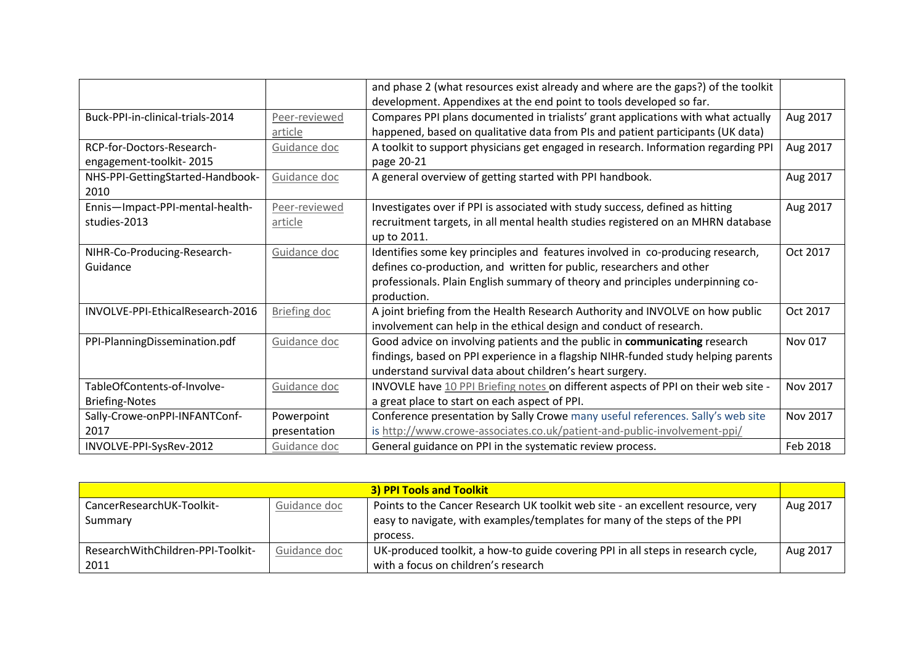|                                  |               | and phase 2 (what resources exist already and where are the gaps?) of the toolkit  |          |
|----------------------------------|---------------|------------------------------------------------------------------------------------|----------|
|                                  |               | development. Appendixes at the end point to tools developed so far.                |          |
| Buck-PPI-in-clinical-trials-2014 | Peer-reviewed | Compares PPI plans documented in trialists' grant applications with what actually  | Aug 2017 |
|                                  | article       | happened, based on qualitative data from PIs and patient participants (UK data)    |          |
| RCP-for-Doctors-Research-        | Guidance doc  | A toolkit to support physicians get engaged in research. Information regarding PPI | Aug 2017 |
| engagement-toolkit-2015          |               | page 20-21                                                                         |          |
| NHS-PPI-GettingStarted-Handbook- | Guidance doc  | A general overview of getting started with PPI handbook.                           | Aug 2017 |
| 2010                             |               |                                                                                    |          |
| Ennis-Impact-PPI-mental-health-  | Peer-reviewed | Investigates over if PPI is associated with study success, defined as hitting      | Aug 2017 |
| studies-2013                     | article       | recruitment targets, in all mental health studies registered on an MHRN database   |          |
|                                  |               | up to 2011.                                                                        |          |
| NIHR-Co-Producing-Research-      | Guidance doc  | Identifies some key principles and features involved in co-producing research,     | Oct 2017 |
| Guidance                         |               | defines co-production, and written for public, researchers and other               |          |
|                                  |               | professionals. Plain English summary of theory and principles underpinning co-     |          |
|                                  |               | production.                                                                        |          |
| INVOLVE-PPI-EthicalResearch-2016 | Briefing doc  | A joint briefing from the Health Research Authority and INVOLVE on how public      | Oct 2017 |
|                                  |               | involvement can help in the ethical design and conduct of research.                |          |
| PPI-PlanningDissemination.pdf    | Guidance doc  | Good advice on involving patients and the public in communicating research         | Nov 017  |
|                                  |               | findings, based on PPI experience in a flagship NIHR-funded study helping parents  |          |
|                                  |               | understand survival data about children's heart surgery.                           |          |
| TableOfContents-of-Involve-      | Guidance doc  | INVOVLE have 10 PPI Briefing notes on different aspects of PPI on their web site - | Nov 2017 |
| <b>Briefing-Notes</b>            |               | a great place to start on each aspect of PPI.                                      |          |
| Sally-Crowe-onPPI-INFANTConf-    | Powerpoint    | Conference presentation by Sally Crowe many useful references. Sally's web site    | Nov 2017 |
| 2017                             | presentation  | is http://www.crowe-associates.co.uk/patient-and-public-involvement-ppi/           |          |
| INVOLVE-PPI-SysRev-2012          | Guidance doc  | General guidance on PPI in the systematic review process.                          | Feb 2018 |

| <b>3) PPI Tools and Toolkit</b>   |              |                                                                                  |          |
|-----------------------------------|--------------|----------------------------------------------------------------------------------|----------|
| CancerResearchUK-Toolkit-         | Guidance doc | Points to the Cancer Research UK toolkit web site - an excellent resource, very  | Aug 2017 |
| Summary                           |              | easy to navigate, with examples/templates for many of the steps of the PPI       |          |
|                                   |              | process.                                                                         |          |
| ResearchWithChildren-PPI-Toolkit- | Guidance doc | UK-produced toolkit, a how-to guide covering PPI in all steps in research cycle, | Aug 2017 |
| 2011                              |              | with a focus on children's research                                              |          |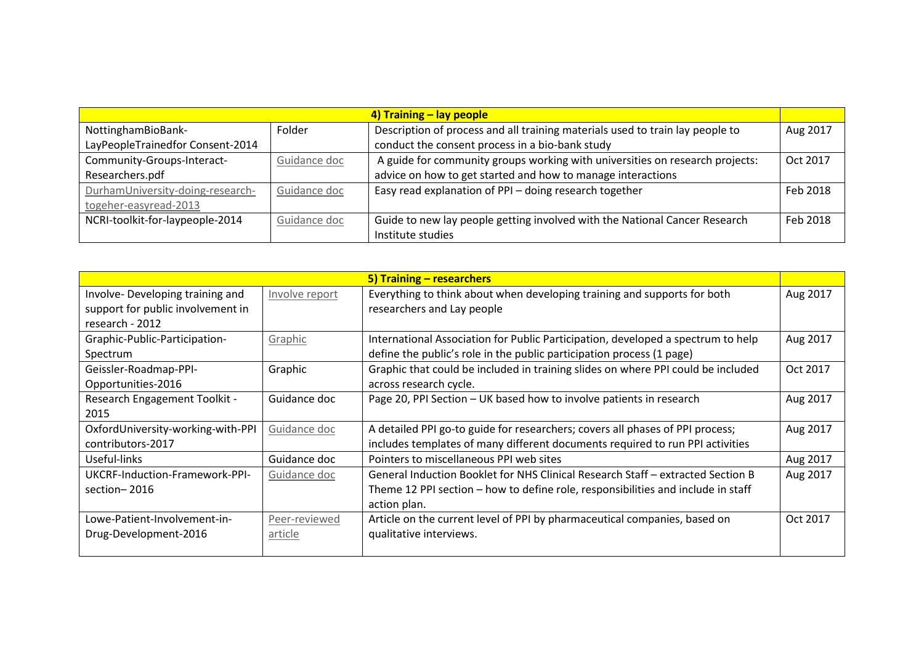| 4) Training – lay people         |              |                                                                               |          |
|----------------------------------|--------------|-------------------------------------------------------------------------------|----------|
| NottinghamBioBank-               | Folder       | Description of process and all training materials used to train lay people to | Aug 2017 |
| LayPeopleTrainedfor Consent-2014 |              | conduct the consent process in a bio-bank study                               |          |
| Community-Groups-Interact-       | Guidance doc | A guide for community groups working with universities on research projects:  | Oct 2017 |
| Researchers.pdf                  |              | advice on how to get started and how to manage interactions                   |          |
| DurhamUniversity-doing-research- | Guidance doc | Easy read explanation of PPI - doing research together                        | Feb 2018 |
| togeher-easyread-2013            |              |                                                                               |          |
| NCRI-toolkit-for-laypeople-2014  | Guidance doc | Guide to new lay people getting involved with the National Cancer Research    | Feb 2018 |
|                                  |              | Institute studies                                                             |          |

|                                   |                | 5) Training – researchers                                                        |          |
|-----------------------------------|----------------|----------------------------------------------------------------------------------|----------|
| Involve-Developing training and   | Involve report | Everything to think about when developing training and supports for both         | Aug 2017 |
| support for public involvement in |                | researchers and Lay people                                                       |          |
| research - 2012                   |                |                                                                                  |          |
| Graphic-Public-Participation-     | Graphic        | International Association for Public Participation, developed a spectrum to help | Aug 2017 |
| Spectrum                          |                | define the public's role in the public participation process (1 page)            |          |
| Geissler-Roadmap-PPI-             | Graphic        | Graphic that could be included in training slides on where PPI could be included | Oct 2017 |
| Opportunities-2016                |                | across research cycle.                                                           |          |
| Research Engagement Toolkit -     | Guidance doc   | Page 20, PPI Section - UK based how to involve patients in research              | Aug 2017 |
| 2015                              |                |                                                                                  |          |
| OxfordUniversity-working-with-PPI | Guidance doc   | A detailed PPI go-to guide for researchers; covers all phases of PPI process;    | Aug 2017 |
| contributors-2017                 |                | includes templates of many different documents required to run PPI activities    |          |
| Useful-links                      | Guidance doc   | Pointers to miscellaneous PPI web sites                                          | Aug 2017 |
| UKCRF-Induction-Framework-PPI-    | Guidance doc   | General Induction Booklet for NHS Clinical Research Staff – extracted Section B  | Aug 2017 |
| section-2016                      |                | Theme 12 PPI section - how to define role, responsibilities and include in staff |          |
|                                   |                | action plan.                                                                     |          |
| Lowe-Patient-Involvement-in-      | Peer-reviewed  | Article on the current level of PPI by pharmaceutical companies, based on        | Oct 2017 |
| Drug-Development-2016             | article        | qualitative interviews.                                                          |          |
|                                   |                |                                                                                  |          |